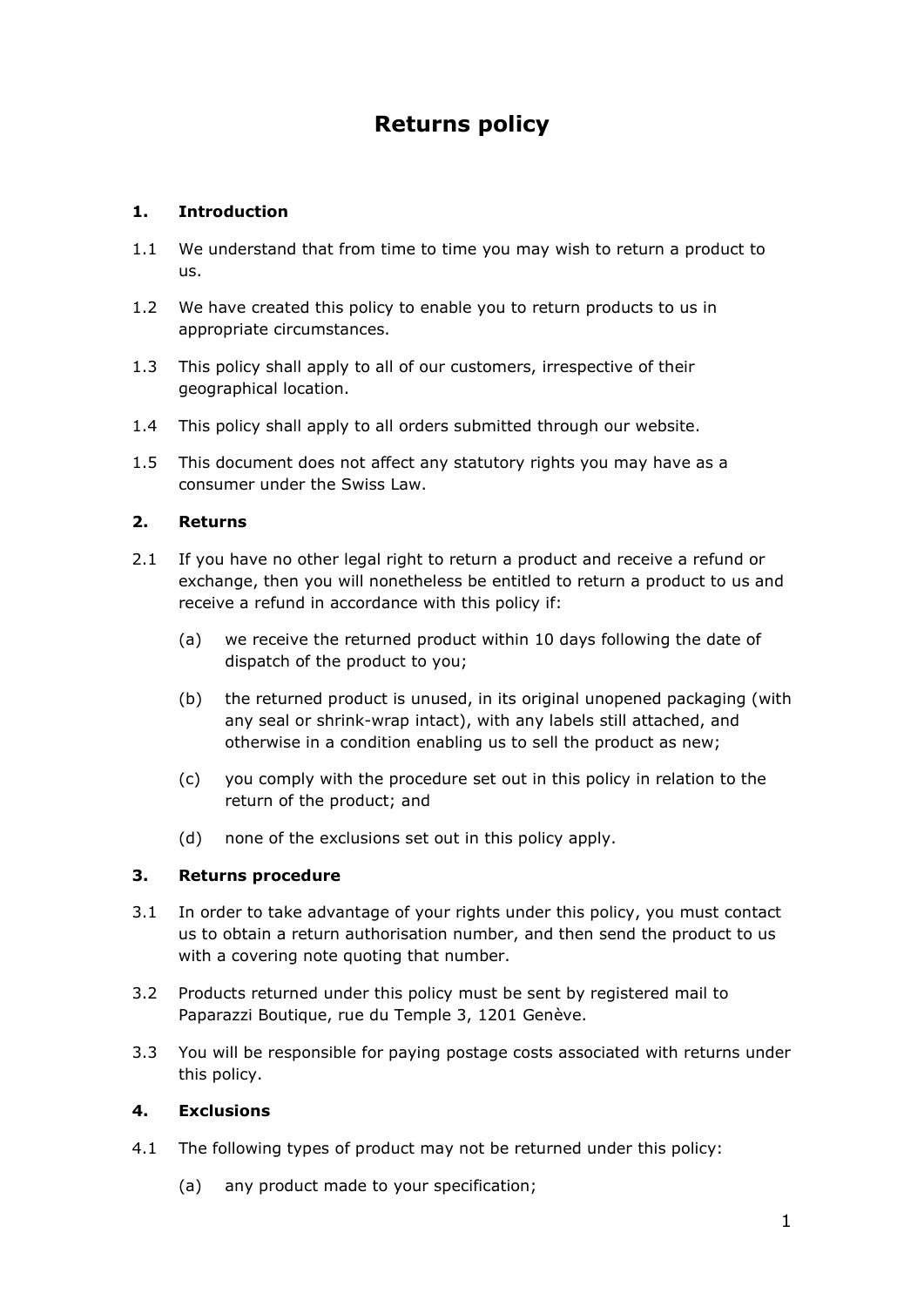# **Returns policy**

# **1. Introduction**

- 1.1 We understand that from time to time you may wish to return a product to us.
- 1.2 We have created this policy to enable you to return products to us in appropriate circumstances.
- 1.3 This policy shall apply to all of our customers, irrespective of their geographical location.
- 1.4 This policy shall apply to all orders submitted through our website.
- 1.5 This document does not affect any statutory rights you may have as a consumer under the Swiss Law.

### **2. Returns**

- 2.1 If you have no other legal right to return a product and receive a refund or exchange, then you will nonetheless be entitled to return a product to us and receive a refund in accordance with this policy if:
	- (a) we receive the returned product within 10 days following the date of dispatch of the product to you;
	- (b) the returned product is unused, in its original unopened packaging (with any seal or shrink-wrap intact), with any labels still attached, and otherwise in a condition enabling us to sell the product as new;
	- (c) you comply with the procedure set out in this policy in relation to the return of the product; and
	- (d) none of the exclusions set out in this policy apply.

#### **3. Returns procedure**

- 3.1 In order to take advantage of your rights under this policy, you must contact us to obtain a return authorisation number, and then send the product to us with a covering note quoting that number.
- 3.2 Products returned under this policy must be sent by registered mail to Paparazzi Boutique, rue du Temple 3, 1201 Genève.
- 3.3 You will be responsible for paying postage costs associated with returns under this policy.

#### **4. Exclusions**

- 4.1 The following types of product may not be returned under this policy:
	- (a) any product made to your specification;